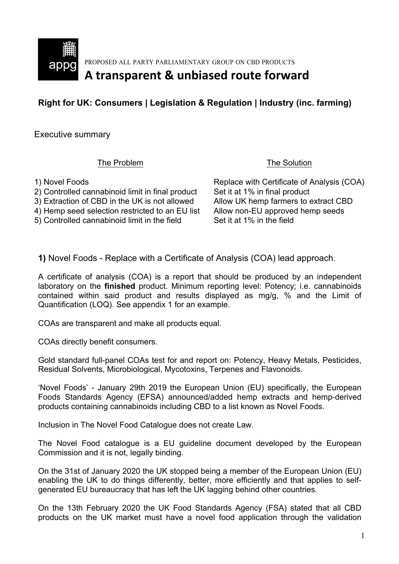

PROPOSED ALL PARTY PARLIAMENTARY GROUP ON CBD PRODUCTS

# A transparent & unbiased route forward

### **Right for UK: Consumers | Legislation & Regulation | Industry (inc. farming)**

Executive summary

The Problem The Solution

1) Novel Foods **Replace with Certificate of Analysis (COA)** 2) Controlled cannabinoid limit in final product Set it at 1% in final product 3) Extraction of CBD in the UK is not allowed Allow UK hemp farmers to extract CBD 4) Hemp seed selection restricted to an EU list Allow non-EU approved hemp seeds 5) Controlled cannabinoid limit in the field Set it at 1% in the field

**1)** Novel Foods - Replace with a Certificate of Analysis (COA) lead approach.

A certificate of analysis (COA) is a report that should be produced by an independent laboratory on the **finished** product. Minimum reporting level: Potency; i.e. cannabinoids contained within said product and results displayed as mg/g, % and the Limit of Quantification (LOQ). See appendix 1 for an example.

COAs are transparent and make all products equal.

COAs directly benefit consumers.

Gold standard full-panel COAs test for and report on: Potency, Heavy Metals, Pesticides, Residual Solvents, Microbiological, Mycotoxins, Terpenes and Flavonoids.

'Novel Foods' - January 29th 2019 the European Union (EU) specifically, the European Foods Standards Agency (EFSA) announced/added hemp extracts and hemp-derived products containing cannabinoids including CBD to a list known as Novel Foods.

Inclusion in The Novel Food Catalogue does not create Law.

The Novel Food catalogue is a EU guideline document developed by the European Commission and it is not, legally binding.

On the 31st of January 2020 the UK stopped being a member of the European Union (EU) enabling the UK to do things differently, better, more efficiently and that applies to selfgenerated EU bureaucracy that has left the UK lagging behind other countries.

On the 13th February 2020 the UK Food Standards Agency (FSA) stated that all CBD products on the UK market must have a novel food application through the validation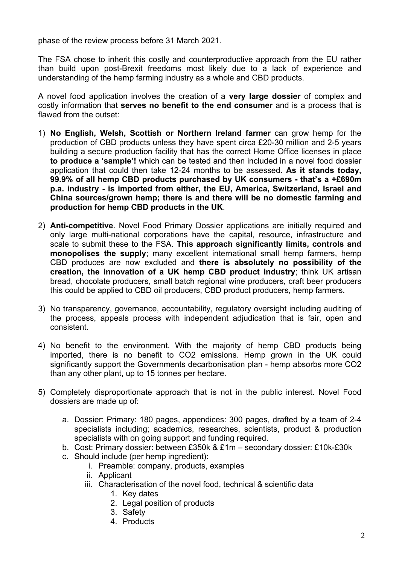phase of the review process before 31 March 2021.

The FSA chose to inherit this costly and counterproductive approach from the EU rather than build upon post-Brexit freedoms most likely due to a lack of experience and understanding of the hemp farming industry as a whole and CBD products.

A novel food application involves the creation of a **very large dossier** of complex and costly information that **serves no benefit to the end consumer** and is a process that is flawed from the outset:

- 1) **No English, Welsh, Scottish or Northern Ireland farmer** can grow hemp for the production of CBD products unless they have spent circa £20-30 million and 2-5 years building a secure production facility that has the correct Home Office licenses in place **to produce a 'sample'!** which can be tested and then included in a novel food dossier application that could then take 12-24 months to be assessed. **As it stands today, 99.9% of all hemp CBD products purchased by UK consumers - that's a +£690m p.a. industry - is imported from either, the EU, America, Switzerland, Israel and China sources/grown hemp; there is and there will be no domestic farming and production for hemp CBD products in the UK**.
- 2) **Anti-competitive**. Novel Food Primary Dossier applications are initially required and only large multi-national corporations have the capital, resource, infrastructure and scale to submit these to the FSA. **This approach significantly limits, controls and monopolises the supply**; many excellent international small hemp farmers, hemp CBD produces are now excluded and **there is absolutely no possibility of the creation, the innovation of a UK hemp CBD product industry**; think UK artisan bread, chocolate producers, small batch regional wine producers, craft beer producers this could be applied to CBD oil producers, CBD product producers, hemp farmers.
- 3) No transparency, governance, accountability, regulatory oversight including auditing of the process, appeals process with independent adjudication that is fair, open and consistent.
- 4) No benefit to the environment. With the majority of hemp CBD products being imported, there is no benefit to CO2 emissions. Hemp grown in the UK could significantly support the Governments decarbonisation plan - hemp absorbs more CO2 than any other plant, up to 15 tonnes per hectare.
- 5) Completely disproportionate approach that is not in the public interest. Novel Food dossiers are made up of:
	- a. Dossier: Primary: 180 pages, appendices: 300 pages, drafted by a team of 2-4 specialists including; academics, researches, scientists, product & production specialists with on going support and funding required.
	- b. Cost: Primary dossier: between £350k & £1m secondary dossier: £10k-£30k
	- c. Should include (per hemp ingredient):
		- i. Preamble: company, products, examples
		- ii. Applicant
		- iii. Characterisation of the novel food, technical & scientific data
			- 1. Key dates
			- 2. Legal position of products
			- 3. Safety
			- 4. Products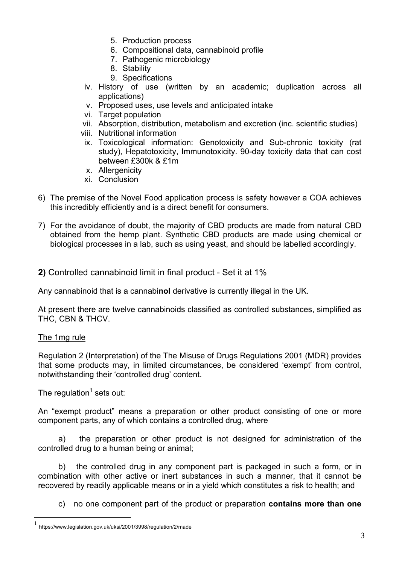- 5. Production process
- 6. Compositional data, cannabinoid profile
- 7. Pathogenic microbiology
- 8. Stability
- 9. Specifications
- iv. History of use (written by an academic; duplication across all applications)
- v. Proposed uses, use levels and anticipated intake
- vi. Target population
- vii. Absorption, distribution, metabolism and excretion (inc. scientific studies)
- viii. Nutritional information
- ix. Toxicological information: Genotoxicity and Sub-chronic toxicity (rat study), Hepatotoxicity, Immunotoxicity. 90-day toxicity data that can cost between £300k & £1m
- x. Allergenicity
- xi. Conclusion
- 6) The premise of the Novel Food application process is safety however a COA achieves this incredibly efficiently and is a direct benefit for consumers.
- 7) For the avoidance of doubt, the majority of CBD products are made from natural CBD obtained from the hemp plant. Synthetic CBD products are made using chemical or biological processes in a lab, such as using yeast, and should be labelled accordingly.

**2)** Controlled cannabinoid limit in final product - Set it at 1%

Any cannabinoid that is a cannabi**nol** derivative is currently illegal in the UK.

At present there are twelve cannabinoids classified as controlled substances, simplified as THC, CBN & THCV.

#### The 1mg rule

Regulation 2 (Interpretation) of the The Misuse of Drugs Regulations 2001 (MDR) provides that some products may, in limited circumstances, be considered 'exempt' from control, notwithstanding their 'controlled drug' content.

The regulation<sup>1</sup> sets out:

An "exempt product" means a preparation or other product consisting of one or more component parts, any of which contains a controlled drug, where

a) the preparation or other product is not designed for administration of the controlled drug to a human being or animal;

b) the controlled drug in any component part is packaged in such a form, or in combination with other active or inert substances in such a manner, that it cannot be recovered by readily applicable means or in a yield which constitutes a risk to health; and

c) no one component part of the product or preparation **contains more than one** 

 <sup>1</sup> https://www.legislation.gov.uk/uksi/2001/3998/regulation/2/made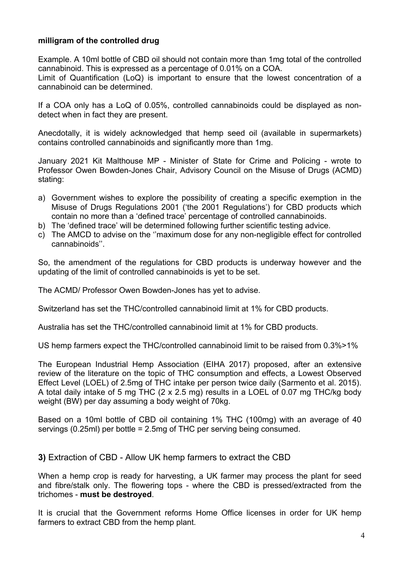#### **milligram of the controlled drug**

Example. A 10ml bottle of CBD oil should not contain more than 1mg total of the controlled cannabinoid. This is expressed as a percentage of 0.01% on a COA. Limit of Quantification (LoQ) is important to ensure that the lowest concentration of a cannabinoid can be determined.

If a COA only has a LoQ of 0.05%, controlled cannabinoids could be displayed as nondetect when in fact they are present.

Anecdotally, it is widely acknowledged that hemp seed oil (available in supermarkets) contains controlled cannabinoids and significantly more than 1mg.

January 2021 Kit Malthouse MP - Minister of State for Crime and Policing - wrote to Professor Owen Bowden-Jones Chair, Advisory Council on the Misuse of Drugs (ACMD) stating:

- a) Government wishes to explore the possibility of creating a specific exemption in the Misuse of Drugs Regulations 2001 ('the 2001 Regulations') for CBD products which contain no more than a 'defined trace' percentage of controlled cannabinoids.
- b) The 'defined trace' will be determined following further scientific testing advice.
- c) The AMCD to advise on the ''maximum dose for any non-negligible effect for controlled cannabinoids''.

So, the amendment of the regulations for CBD products is underway however and the updating of the limit of controlled cannabinoids is yet to be set.

The ACMD/ Professor Owen Bowden-Jones has yet to advise.

Switzerland has set the THC/controlled cannabinoid limit at 1% for CBD products.

Australia has set the THC/controlled cannabinoid limit at 1% for CBD products.

US hemp farmers expect the THC/controlled cannabinoid limit to be raised from 0.3%>1%

The European Industrial Hemp Association (EIHA 2017) proposed, after an extensive review of the literature on the topic of THC consumption and effects, a Lowest Observed Effect Level (LOEL) of 2.5mg of THC intake per person twice daily (Sarmento et al. 2015). A total daily intake of 5 mg THC (2 x 2.5 mg) results in a LOEL of 0.07 mg THC/kg body weight (BW) per day assuming a body weight of 70kg.

Based on a 10ml bottle of CBD oil containing 1% THC (100mg) with an average of 40 servings (0.25ml) per bottle = 2.5mg of THC per serving being consumed.

**3)** Extraction of CBD - Allow UK hemp farmers to extract the CBD

When a hemp crop is ready for harvesting, a UK farmer may process the plant for seed and fibre/stalk only. The flowering tops - where the CBD is pressed/extracted from the trichomes - **must be destroyed**.

It is crucial that the Government reforms Home Office licenses in order for UK hemp farmers to extract CBD from the hemp plant.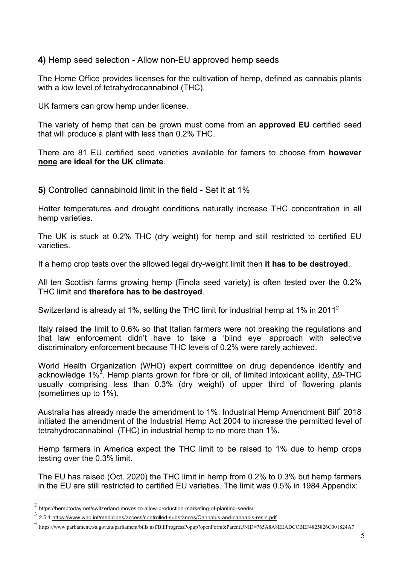**4)** Hemp seed selection - Allow non-EU approved hemp seeds

The Home Office provides licenses for the cultivation of hemp, defined as cannabis plants with a low level of tetrahydrocannabinol (THC).

UK farmers can grow hemp under license.

The variety of hemp that can be grown must come from an **approved EU** certified seed that will produce a plant with less than 0.2% THC.

There are 81 EU certified seed varieties available for famers to choose from **however none are ideal for the UK climate**.

**5)** Controlled cannabinoid limit in the field - Set it at 1%

Hotter temperatures and drought conditions naturally increase THC concentration in all hemp varieties.

The UK is stuck at 0.2% THC (dry weight) for hemp and still restricted to certified EU varieties.

If a hemp crop tests over the allowed legal dry-weight limit then **it has to be destroyed**.

All ten Scottish farms growing hemp (Finola seed variety) is often tested over the 0.2% THC limit and **therefore has to be destroyed**.

Switzerland is already at 1%, setting the THC limit for industrial hemp at 1% in 2011<sup>2</sup>

Italy raised the limit to 0.6% so that Italian farmers were not breaking the regulations and that law enforcement didn't have to take a 'blind eye' approach with selective discriminatory enforcement because THC levels of 0.2% were rarely achieved.

World Health Organization (WHO) expert committee on drug dependence identify and acknowledge 1%<sup>3</sup>. Hemp plants grown for fibre or oil, of limited intoxicant ability, Δ9-THC usually comprising less than 0.3% (dry weight) of upper third of flowering plants (sometimes up to 1%).

Australia has already made the amendment to 1%. Industrial Hemp Amendment Bill<sup>4</sup> 2018 initiated the amendment of the Industrial Hemp Act 2004 to increase the permitted level of tetrahydrocannabinol (THC) in industrial hemp to no more than 1%.

Hemp farmers in America expect the THC limit to be raised to 1% due to hemp crops testing over the 0.3% limit.

The EU has raised (Oct. 2020) the THC limit in hemp from 0.2% to 0.3% but hemp farmers in the EU are still restricted to certified EU varieties. The limit was 0.5% in 1984.Appendix:

 $2$  https://hemptoday.net/switzerland-moves-to-allow-production-marketing-of-planting-seeds/

<sup>3&</sup>lt;br>2.5.1 https://www.who.int/medicines/access/controlled-substances/Cannabis-and-cannabis-resin.pdf

<sup>4</sup> https://www.parliament.wa.gov.au/parliament/bills.nsf/BillProgressPopup?openForm&ParentUNID=765A8A8EEADCCBEF4825826C001824A7